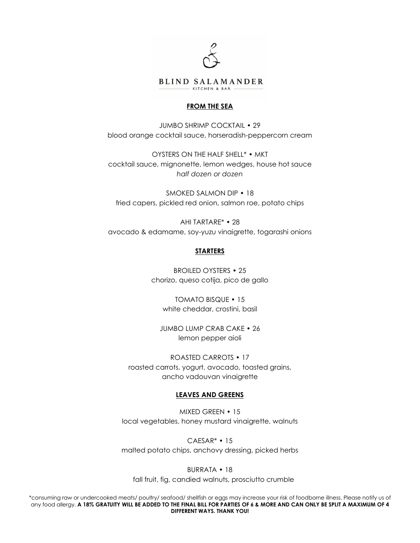

# **FROM THE SEA**

JUMBO SHRIMP COCKTAIL • 29 blood orange cocktail sauce, horseradish-peppercorn cream

OYSTERS ON THE HALF SHELL\* • MKT cocktail sauce, mignonette, lemon wedges, house hot sauce *half dozen or dozen*

SMOKED SALMON DIP • 18 fried capers, pickled red onion, salmon roe, potato chips

AHI TARTARE\* • 28 avocado & edamame, soy-yuzu vinaigrette, togarashi onions

# **STARTERS**

BROILED OYSTERS • 25 chorizo, queso cotija, pico de gallo

TOMATO BISQUE • 15 white cheddar, crostini, basil

JUMBO LUMP CRAB CAKE • 26 lemon pepper aioli

ROASTED CARROTS • 17 roasted carrots, yogurt, avocado, toasted grains, ancho vadouvan vinaigrette

### **LEAVES AND GREENS**

MIXED GREEN • 15 local vegetables, honey mustard vinaigrette, walnuts

CAESAR\* • 15 malted potato chips, anchovy dressing, picked herbs

BURRATA • 18

fall fruit, fig, candied walnuts, prosciutto crumble

\*consuming raw or undercooked meats/ poultry/ seafood/ shellfish or eggs may increase your risk of foodborne illness. Please notify us of any food allergy. **A 18% GRATUITY WILL BE ADDED TO THE FINAL BILL FOR PARTIES OF 6 & MORE AND CAN ONLY BE SPLIT A MAXIMUM OF 4 DIFFERENT WAYS. THANK YOU!**